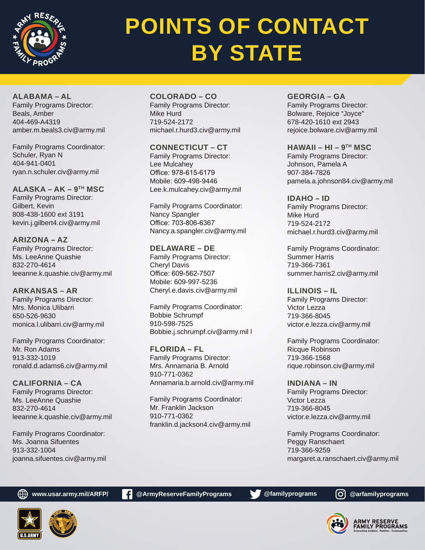

# **POINTS OF CONTACT BY STATE**

**ALABAMA – AL** Family Programs Director: Beals, Amber 404-469-A4319 amber.m.beals3.civ@army.mil

Family Programs Coordinator: Schuler, Ryan N 404-941-0401 ryan.n.schuler.civ@army.mil

**ALASKA – AK – 9TH MSC** Family Programs Director: Gilbert, Kevin 808-438-1600 ext 3191 kevin.j.gilbert4.civ@army.mil

**ARIZONA – AZ** Family Programs Director: Ms. LeeAnne Quashie 832-270-4614 leeanne.k.quashie.civ@army.mil

**ARKANSAS – AR** Family Programs Director: Mrs. Monica Ulibarri 650-526-9630 monica.l.ulibarri.civ@army.mil

Family Programs Coordinator: Mr. Ron Adams 913-332-1019 ronald.d.adams6.civ@army.mil

**CALIFORNIA – CA** Family Programs Director: Ms. LeeAnne Quashie 832-270-4614 leeanne.k.quashie.civ@army.mil

Family Programs Coordinator: Ms. Joanna Sifuentes 913-332-1004 joanna.sifuentes.civ@army.mil **COLORADO – CO** Family Programs Director: Mike Hurd 719-524-2172 michael.r.hurd3.civ@army.mil

**CONNECTICUT – CT** Family Programs Director: Lee Mulcahey Office: 978-615-6179 Mobile: 609-498-9446 Lee.k.mulcahey.civ@army.mil

Family Programs Coordinator: Nancy Spangler Office: 703-806-6367 Nancy.a.spangler.civ@army.mil

**DELAWARE – DE** Family Programs Director: Cheryl Davis Office: 609-562-7507 Mobile: 609-997-5236 Cheryl.e.davis.civ@army.mil

Family Programs Coordinator: Bobbie Schrumpf 910-598-7525 Bobbie.j.schrumpf.civ@army.mil l

**FLORIDA – FL** Family Programs Director: Mrs. Annamaria B. Arnold 910-771-0362 Annamaria.b.arnold.civ@army.mil

Family Programs Coordinator: Mr. Franklin Jackson 910-771-0362 franklin.d.jackson4.civ@army.mil **GEORGIA – GA** Family Programs Director: Bolware, Rejoice "Joyce" 678-420-1610 ext 2943 rejoice.bolware.civ@army.mil

**HAWAII – HI – 9TH MSC** Family Programs Director: Johnson, Pamela A 907-384-7826 pamela.a.johnson84.civ@army.mil

**IDAHO – ID** Family Programs Director: Mike Hurd 719-524-2172 michael.r.hurd3.civ@army.mil

Family Programs Coordinator: Summer Harris 719-366-7361 summer.harris2.civ@army.mil

**ILLINOIS – IL** Family Programs Director: Victor Lezza 719-366-8045 victor.e.lezza.civ@army.mil

Family Programs Coordinator: Ricque Robinson 719-366-1568 rique.robinson.civ@army.mil

**INDIANA – IN** Family Programs Director: Victor Lezza 719-366-8045 victor.e.lezza.civ@army.mil

Family Programs Coordinator: Peggy Ranschaert 719-366-9259 margaret.a.ranschaert.civ@army.mil



**www.usar.army.mil/ARFP/ c** @ArmyReserveFamilyPrograms **@familyprograms @** @arfamilyprograms

ARMY RESERVE<br>FAMILY PROGRAMS

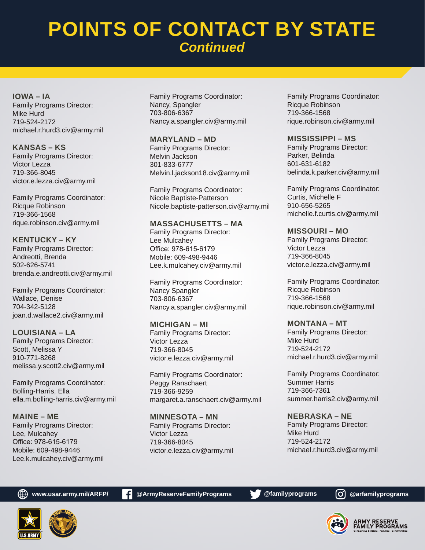## **POINTS OF CONTACT BY STATE** *Continued*

**IOWA – IA** Family Programs Director: Mike Hurd 719-524-2172 michael.r.hurd3.civ@army.mil

**KANSAS – KS** Family Programs Director: Victor Lezza 719-366-8045 victor.e.lezza.civ@army.mil

Family Programs Coordinator: Ricque Robinson 719-366-1568 rique.robinson.civ@army.mil

**KENTUCKY – KY** Family Programs Director: Andreotti, Brenda 502-626-5741 brenda.e.andreotti.civ@army.mil

Family Programs Coordinator: Wallace, Denise 704-342-5128 joan.d.wallace2.civ@army.mil

**LOUISIANA – LA** Family Programs Director: Scott, Melissa Y 910-771-8268 melissa.y.scott2.civ@army.mil

Family Programs Coordinator: Bolling-Harris, Ella ella.m.bolling-harris.civ@army.mil

**MAINE – ME** Family Programs Director: Lee, Mulcahey Office: 978-615-6179 Mobile: 609-498-9446 Lee.k.mulcahey.civ@army.mil Family Programs Coordinator: Nancy, Spangler 703-806-6367 Nancy.a.spangler.civ@army.mil

**MARYLAND – MD** Family Programs Director: Melvin Jackson 301-833-6777 Melvin.l.jackson18.civ@army.mil

Family Programs Coordinator: Nicole Baptiste-Patterson Nicole.baptiste-patterson.civ@army.mil

**MASSACHUSETTS – MA** Family Programs Director: Lee Mulcahey Office: 978-615-6179 Mobile: 609-498-9446 Lee.k.mulcahey.civ@army.mil

Family Programs Coordinator: Nancy Spangler 703-806-6367 Nancy.a.spangler.civ@army.mil

**MICHIGAN – MI** Family Programs Director: Victor Lezza 719-366-8045 victor.e.lezza.civ@army.mil

Family Programs Coordinator: Peggy Ranschaert 719-366-9259 margaret.a.ranschaert.civ@army.mil

**MINNESOTA – MN** Family Programs Director: Victor Lezza 719-366-8045 victor.e.lezza.civ@army.mil Family Programs Coordinator: Ricque Robinson 719-366-1568 rique.robinson.civ@army.mil

**MISSISSIPPI – MS**

Family Programs Director: Parker, Belinda 601-631-6182 belinda.k.parker.civ@army.mil

Family Programs Coordinator: Curtis, Michelle F 910-656-5265 michelle.f.curtis.civ@army.mil

**MISSOURI – MO** Family Programs Director: Victor Lezza 719-366-8045 victor.e.lezza.civ@army.mil

Family Programs Coordinator: Ricque Robinson 719-366-1568 rique.robinson.civ@army.mil

**MONTANA – MT** Family Programs Director: Mike Hurd 719-524-2172 michael.r.hurd3.civ@army.mil

Family Programs Coordinator: Summer Harris 719-366-7361 summer.harris2.civ@army.mil

**NEBRASKA – NE** Family Programs Director: Mike Hurd 719-524-2172 michael.r.hurd3.civ@army.mil





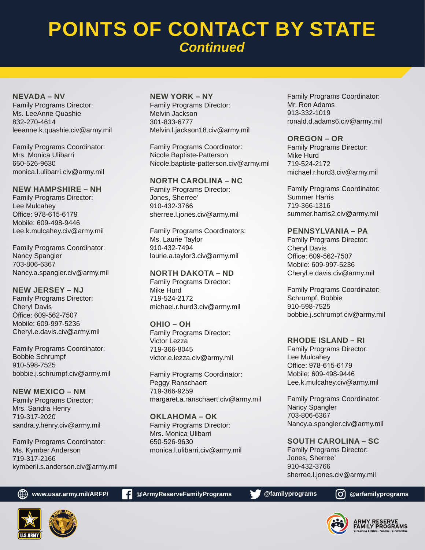## **POINTS OF CONTACT BY STATE** *Continued*

**NEVADA – NV** Family Programs Director: Ms. LeeAnne Quashie 832-270-4614 leeanne.k.quashie.civ@army.mil

Family Programs Coordinator: Mrs. Monica Ulibarri 650-526-9630 monica.l.ulibarri.civ@army.mil

**NEW HAMPSHIRE – NH** Family Programs Director: Lee Mulcahey Office: 978-615-6179 Mobile: 609-498-9446 Lee.k.mulcahey.civ@army.mil

Family Programs Coordinator: Nancy Spangler 703-806-6367 Nancy.a.spangler.civ@army.mil

**NEW JERSEY – NJ** Family Programs Director: Cheryl Davis Office: 609-562-7507 Mobile: 609-997-5236 Cheryl.e.davis.civ@army.mil

Family Programs Coordinator: Bobbie Schrumpf 910-598-7525 bobbie.j.schrumpf.civ@army.mil

**NEW MEXICO – NM** Family Programs Director: Mrs. Sandra Henry 719-317-2020 sandra.y.henry.civ@army.mil

Family Programs Coordinator: Ms. Kymber Anderson 719-317-2166 kymberli.s.anderson.civ@army.mil

#### **NEW YORK – NY**

Family Programs Director: Melvin Jackson 301-833-6777 Melvin.l.jackson18.civ@army.mil

Family Programs Coordinator: Nicole Baptiste-Patterson Nicole.baptiste-patterson.civ@army.mil

**NORTH CAROLINA – NC**

Family Programs Director: Jones, Sherree' 910-432-3766 sherree.l.jones.civ@army.mil

Family Programs Coordinators: Ms. Laurie Taylor 910-432-7494 laurie.a.taylor3.civ@army.mil

**NORTH DAKOTA – ND** Family Programs Director: Mike Hurd 719-524-2172 michael.r.hurd3.civ@army.mil

**OHIO – OH** Family Programs Director: Victor Lezza

719-366-8045 victor.e.lezza.civ@army.mil

Family Programs Coordinator: Peggy Ranschaert 719-366-9259 margaret.a.ranschaert.civ@army.mil

**OKLAHOMA – OK** Family Programs Director: Mrs. Monica Ulibarri 650-526-9630 monica.l.ulibarri.civ@army.mil Family Programs Coordinator: Mr. Ron Adams 913-332-1019 ronald.d.adams6.civ@army.mil

#### **OREGON – OR**

Family Programs Director: Mike Hurd 719-524-2172 michael.r.hurd3.civ@army.mil

Family Programs Coordinator: Summer Harris 719-366-1316 summer.harris2.civ@army.mil

#### **PENNSYLVANIA – PA**

Family Programs Director: Cheryl Davis Office: 609-562-7507 Mobile: 609-997-5236 Cheryl.e.davis.civ@army.mil

Family Programs Coordinator: Schrumpf, Bobbie 910-598-7525 bobbie.j.schrumpf.civ@army.mil

#### **RHODE ISLAND – RI**

Family Programs Director: Lee Mulcahey Office: 978-615-6179 Mobile: 609-498-9446 Lee.k.mulcahey.civ@army.mil

Family Programs Coordinator: Nancy Spangler 703-806-6367 Nancy.a.spangler.civ@army.mil

**SOUTH CAROLINA – SC** Family Programs Director: Jones, Sherree' 910-432-3766 sherree.l.jones.civ@army.mil

**www.usar.army.mil/ARFP/ c** @ArmyReserveFamilyPrograms **@familyprograms @** @arfamilyprograms



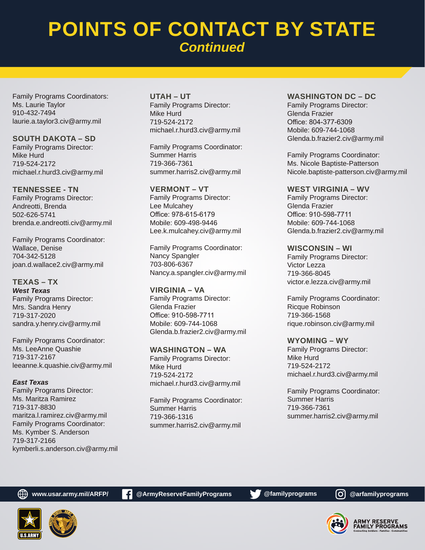## **POINTS OF CONTACT BY STATE** *Continued*

Family Programs Coordinators: Ms. Laurie Taylor 910-432-7494 laurie.a.taylor3.civ@army.mil

**SOUTH DAKOTA – SD** Family Programs Director: Mike Hurd 719-524-2172 michael.r.hurd3.civ@army.mil

**TENNESSEE - TN** Family Programs Director: Andreotti, Brenda 502-626-5741 brenda.e.andreotti.civ@army.mil

Family Programs Coordinator: Wallace, Denise 704-342-5128 joan.d.wallace2.civ@army.mil

**TEXAS – TX** *West Texas* Family Programs Director: Mrs. Sandra Henry 719-317-2020 sandra.y.henry.civ@army.mil

Family Programs Coordinator: Ms. LeeAnne Quashie 719-317-2167 leeanne.k.quashie.civ@army.mil

*East Texas* Family Programs Director: Ms. Maritza Ramirez 719-317-8830 maritza.l.ramirez.civ@army.mil Family Programs Coordinator: Ms. Kymber S. Anderson 719-317-2166 kymberli.s.anderson.civ@army.mil **UTAH – UT** Family Programs Director: Mike Hurd 719-524-2172 michael.r.hurd3.civ@army.mil

Family Programs Coordinator: Summer Harris 719-366-7361 summer.harris2.civ@army.mil

**VERMONT – VT** Family Programs Director: Lee Mulcahey Office: 978-615-6179 Mobile: 609-498-9446 Lee.k.mulcahey.civ@army.mil

Family Programs Coordinator: Nancy Spangler 703-806-6367 Nancy.a.spangler.civ@army.mil

**VIRGINIA – VA** Family Programs Director: Glenda Frazier Office: 910-598-7711 Mobile: 609-744-1068 Glenda.b.frazier2.civ@army.mil

**WASHINGTON – WA** Family Programs Director: Mike Hurd 719-524-2172 michael.r.hurd3.civ@army.mil

Family Programs Coordinator: Summer Harris 719-366-1316 summer.harris2.civ@army.mil

#### **WASHINGTON DC – DC**

Family Programs Director: Glenda Frazier Office: 804-377-6309 Mobile: 609-744-1068 Glenda.b.frazier2.civ@army.mil

Family Programs Coordinator: Ms. Nicole Baptiste-Patterson Nicole.baptiste-patterson.civ@army.mil

**WEST VIRGINIA – WV** Family Programs Director: Glenda Frazier Office: 910-598-7711 Mobile: 609-744-1068 Glenda.b.frazier2.civ@army.mil

**WISCONSIN – WI** Family Programs Director: Victor Lezza 719-366-8045 victor.e.lezza.civ@army.mil

Family Programs Coordinator: Ricque Robinson 719-366-1568 rique.robinson.civ@army.mil

**WYOMING – WY** Family Programs Director: Mike Hurd 719-524-2172 michael.r.hurd3.civ@army.mil

Family Programs Coordinator: Summer Harris 719-366-7361 summer.harris2.civ@army.mil



**ARMY RESERVE<br>FAMILY PROGRAMS**